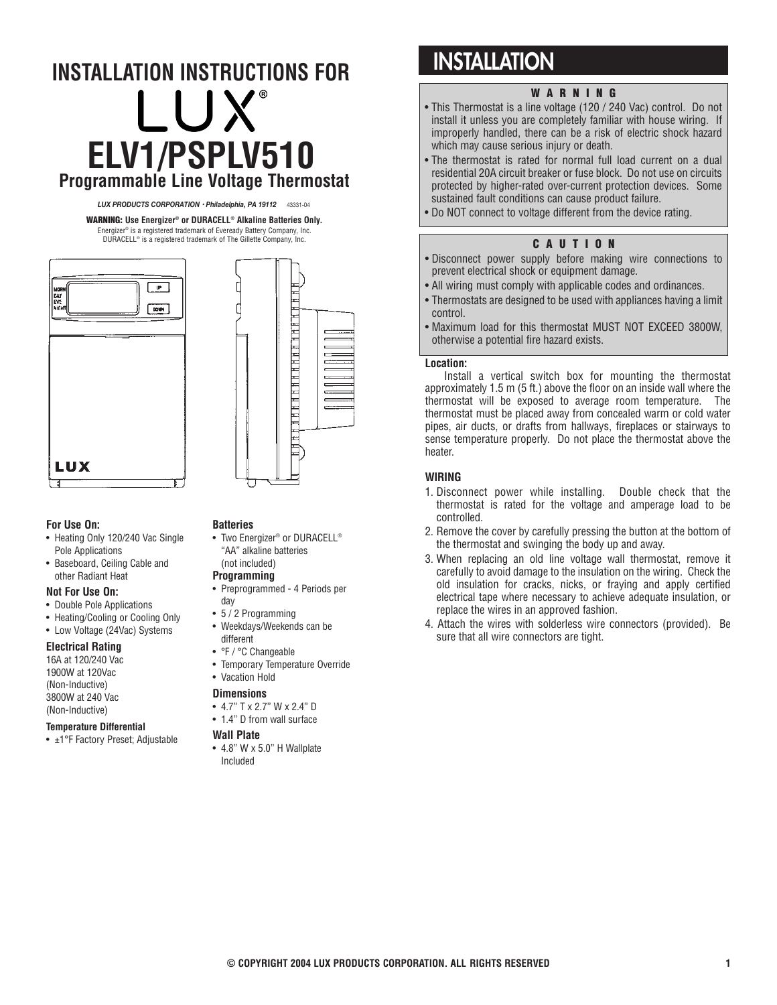# **ELV1/PSPLV510 INSTALLATION INSTRUCTIONS FOR Programmable Line Voltage Thermostat**

*LUX PRODUCTS CORPORATION • Philadelphia, PA 19112* 43331-04

**WARNING: Use Energizer® or DURACELL® Alkaline Batteries Only.** Energizer® is a registered trademark of Eveready Battery Company, Inc. DURACELL® is a registered trademark of The Gillette Company, Inc.



### **For Use On:**

- Heating Only 120/240 Vac Single Pole Applications
- Baseboard, Ceiling Cable and other Radiant Heat

### **Not For Use On:**

- Double Pole Applications
- Heating/Cooling or Cooling Only
- Low Voltage (24Vac) Systems

### **Electrical Rating**

16A at 120/240 Vac 1900W at 120Vac (Non-Inductive) 3800W at 240 Vac (Non-Inductive)

### **Temperature Differential**

• ±1°F Factory Preset; Adjustable

### **Batteries**

• Two Energizer® or DURACELL® "AA" alkaline batteries (not included)

<u>H H H H H H H H H H H H H H</u>

# **Programming**

- Preprogrammed 4 Periods per day
- 5 / 2 Programming
- Weekdays/Weekends can be
	- different
	- °F / °C Changeable
	- Temporary Temperature Override

# • Vacation Hold

- **Dimensions**
- 4.7" T x 2.7" W x 2.4" D
- 1.4" D from wall surface

### **Wall Plate**

• 4.8" W x 5.0" H Wallplate Included

# **INSTALLATION**

# **WARNING**

- This Thermostat is a line voltage (120 / 240 Vac) control. Do not install it unless you are completely familiar with house wiring. If improperly handled, there can be a risk of electric shock hazard which may cause serious injury or death.
- The thermostat is rated for normal full load current on a dual residential 20A circuit breaker or fuse block. Do not use on circuits protected by higher-rated over-current protection devices. Some sustained fault conditions can cause product failure.
- Do NOT connect to voltage different from the device rating.

# **CAUTION**

- Disconnect power supply before making wire connections to prevent electrical shock or equipment damage.
- All wiring must comply with applicable codes and ordinances.
- Thermostats are designed to be used with appliances having a limit control.
- Maximum load for this thermostat MUST NOT EXCEED 3800W, otherwise a potential fire hazard exists.

### **Location:**

Install a vertical switch box for mounting the thermostat approximately 1.5 m (5 ft.) above the floor on an inside wall where the thermostat will be exposed to average room temperature. The thermostat must be placed away from concealed warm or cold water pipes, air ducts, or drafts from hallways, fireplaces or stairways to sense temperature properly. Do not place the thermostat above the heater.

### **WIRING**

- 1. Disconnect power while installing. Double check that the thermostat is rated for the voltage and amperage load to be controlled.
- 2. Remove the cover by carefully pressing the button at the bottom of the thermostat and swinging the body up and away.
- 3. When replacing an old line voltage wall thermostat, remove it carefully to avoid damage to the insulation on the wiring. Check the old insulation for cracks, nicks, or fraying and apply certified electrical tape where necessary to achieve adequate insulation, or replace the wires in an approved fashion.
- 4. Attach the wires with solderless wire connectors (provided). Be sure that all wire connectors are tight.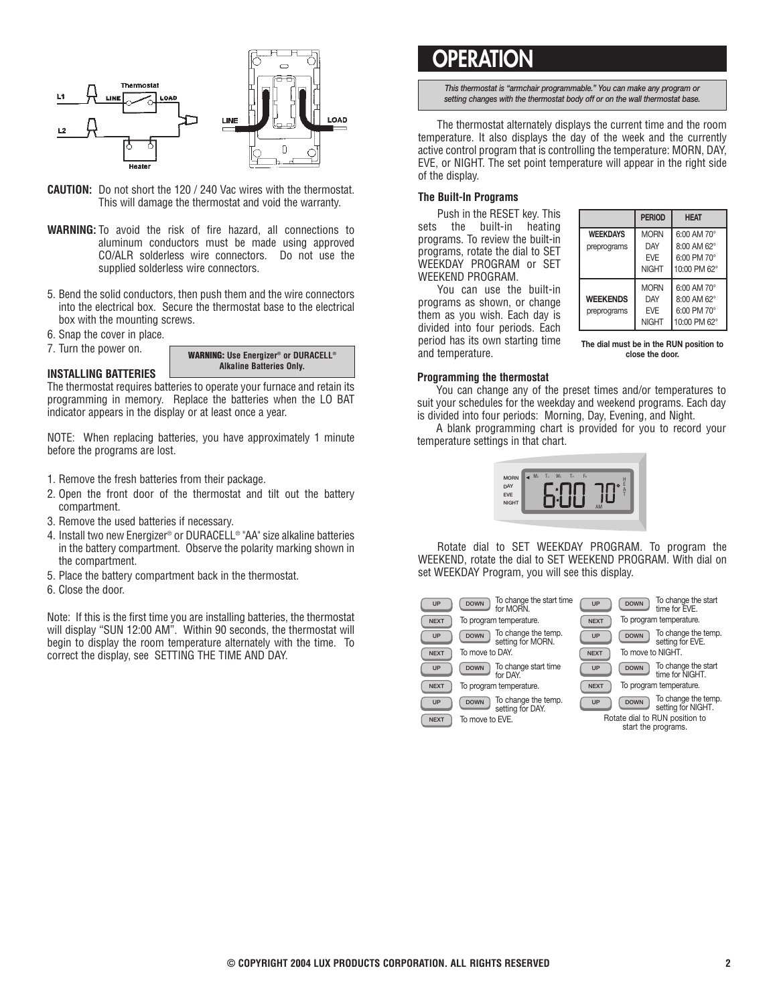

- **CAUTION:** Do not short the 120 / 240 Vac wires with the thermostat. This will damage the thermostat and void the warranty.
- **WARNING:** To avoid the risk of fire hazard, all connections to aluminum conductors must be made using approved CO/ALR solderless wire connectors. Do not use the supplied solderless wire connectors.
- 5. Bend the solid conductors, then push them and the wire connectors into the electrical box. Secure the thermostat base to the electrical box with the mounting screws.
- 6. Snap the cover in place.
- 7. Turn the power on.

**WARNING: Use Energizer® or DURACELL® Alkaline Batteries Only.**

### **INSTALLING BATTERIES**

The thermostat requires batteries to operate your furnace and retain its programming in memory. Replace the batteries when the LO BAT indicator appears in the display or at least once a year.

NOTE: When replacing batteries, you have approximately 1 minute before the programs are lost.

- 1. Remove the fresh batteries from their package.
- 2. Open the front door of the thermostat and tilt out the battery compartment.
- 3. Remove the used batteries if necessary.
- 4. Install two new Energizer® or DURACELL® "AA" size alkaline batteries in the battery compartment. Observe the polarity marking shown in the compartment.
- 5. Place the battery compartment back in the thermostat.
- 6. Close the door.

Note: If this is the first time you are installing batteries, the thermostat will display "SUN 12:00 AM". Within 90 seconds, the thermostat will begin to display the room temperature alternately with the time. To correct the display, see SETTING THE TIME AND DAY.

# **OPERATIO**

*This thermostat is "armchair programmable." You can make any program or setting changes with the thermostat body off or on the wall thermostat base.*

The thermostat alternately displays the current time and the room temperature. It also displays the day of the week and the currently active control program that is controlling the temperature: MORN, DAY, EVE, or NIGHT. The set point temperature will appear in the right side of the display.

### **The Built-In Programs**

Push in the RESET key. This sets the built-in heating programs. To review the built-in programs, rotate the dial to SET WEEKDAY PROGRAM or SET WEEKEND PROGRAM.

You can use the built-in programs as shown, or change them as you wish. Each day is divided into four periods. Each period has its own starting time and temperature.

|                                | <b>PERIOD</b>                                           | <b>HEAT</b>                                               |
|--------------------------------|---------------------------------------------------------|-----------------------------------------------------------|
| <b>WEEKDAYS</b><br>preprograms | <b>MORN</b><br>DAY<br><b>FVF</b><br><b>NIGHT</b>        | 6:00 AM 70°<br>8:00 AM 62°<br>6:00 PM 70°<br>10:00 PM 62° |
| <b>WEEKENDS</b><br>preprograms | <b>MORN</b><br><b>DAY</b><br><b>FVF</b><br><b>NIGHT</b> | 6:00 AM 70°<br>8:00 AM 62°<br>6:00 PM 70°<br>10:00 PM 62° |

**The dial must be in the RUN position to close the door.**

#### **Programming the thermostat**

You can change any of the preset times and/or temperatures to suit your schedules for the weekday and weekend programs. Each day is divided into four periods: Morning, Day, Evening, and Night.

A blank programming chart is provided for you to record your temperature settings in that chart.



Rotate dial to SET WEEKDAY PROGRAM. To program the WEEKEND, rotate the dial to SET WEEKEND PROGRAM. With dial on set WEEKDAY Program, you will see this display.